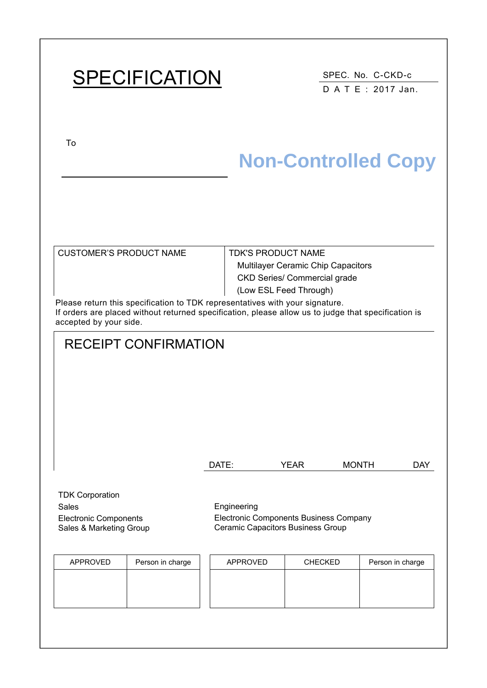# SPECIFICATION SPEC. No. C-CKD-c

D A T E : 2017 Jan.

To

Sales & Marketing Group

## **Non-Controlled Copy**

| CUSTOMER'S PRODUCT NAME                                                     | <b>TDK'S PRODUCT NAME</b>                 |
|-----------------------------------------------------------------------------|-------------------------------------------|
|                                                                             | <b>Multilayer Ceramic Chip Capacitors</b> |
|                                                                             | <b>CKD Series/ Commercial grade</b>       |
|                                                                             | (Low ESL Feed Through)                    |
| Please return this specification to TDK representatives with your signature |                                           |

entatives with yo If orders are placed without returned specification, please allow us to judge that specification is accepted by your side.

# RECEIPT CONFIRMATION DATE: YEAR MONTH DAY TDK Corporation Sales Engineering Electronic Components Electronic Components Business Company

APPROVED | Person in charge | | APPROVED | CHECKED | Person in charge

Ceramic Capacitors Business Group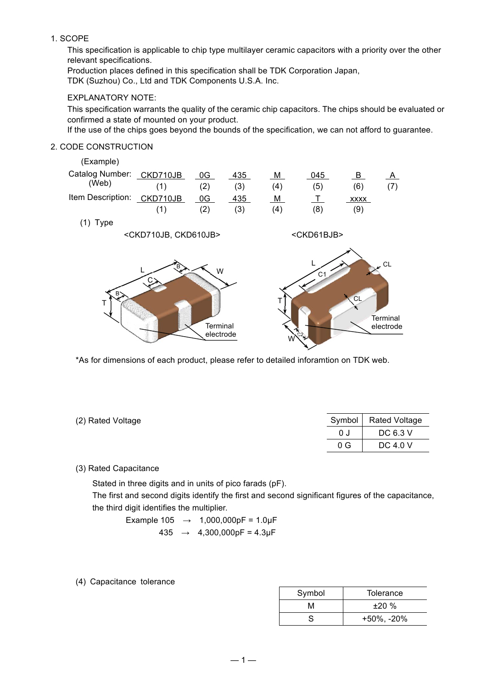#### 1. SCOPE

This specification is applicable to chip type multilayer ceramic capacitors with a priority over the other relevant specifications.

Production places defined in this specification shall be TDK Corporation Japan,

TDK (Suzhou) Co., Ltd and TDK Components U.S.A. Inc.

#### EXPLANATORY NOTE:

This specification warrants the quality of the ceramic chip capacitors. The chips should be evaluated or confirmed a state of mounted on your product.

If the use of the chips goes beyond the bounds of the specification, we can not afford to guarantee.

#### 2. CODE CONSTRUCTION

| (Example)                  |                                     |                            |     |     |                                  |                |                                        |
|----------------------------|-------------------------------------|----------------------------|-----|-----|----------------------------------|----------------|----------------------------------------|
| Catalog Number:            | CKD710JB                            | 0G                         | 435 | M   | 045                              | $\overline{B}$ | <u>A</u>                               |
| (Web)                      | (1)                                 | (2)                        | (3) | (4) | (5)                              | (6)            | (7)                                    |
| Item Description: CKD710JB |                                     | 0G                         | 435 | M   | $\top$                           | XXXX           |                                        |
|                            | (1)                                 | (2)                        | (3) | (4) | (8)                              | (9)            |                                        |
| $(1)$ Type                 |                                     |                            |     |     |                                  |                |                                        |
|                            | <ckd710jb, ckd610jb=""></ckd710jb,> |                            |     |     | <ckd61bjb></ckd61bjb>            |                |                                        |
| В.<br>T                    | B                                   | W<br>Terminal<br>electrode |     |     | C <sub>1</sub><br>C <sub>2</sub> | CL             | $\epsilon$ CL<br>Terminal<br>electrode |

\*As for dimensions of each product, please refer to detailed inforamtion on TDK web.

| (2) Rated Voltage |     | Symbol   Rated Voltage |
|-------------------|-----|------------------------|
|                   | 0 J | DC 6.3 V               |
|                   | 0 G | DC 4.0 V               |

#### (3) Rated Capacitance

Stated in three digits and in units of pico farads (pF).

The first and second digits identify the first and second significant figures of the capacitance, the third digit identifies the multiplier.

Example  $105 \rightarrow 1,000,000pF = 1.0\mu F$  $435 \rightarrow 4,300,000pF = 4.3pF$ 

(4) Capacitance tolerance

| Symbol | Tolerance         |
|--------|-------------------|
| м      | ±20%              |
| S      | $+50\%$ , $-20\%$ |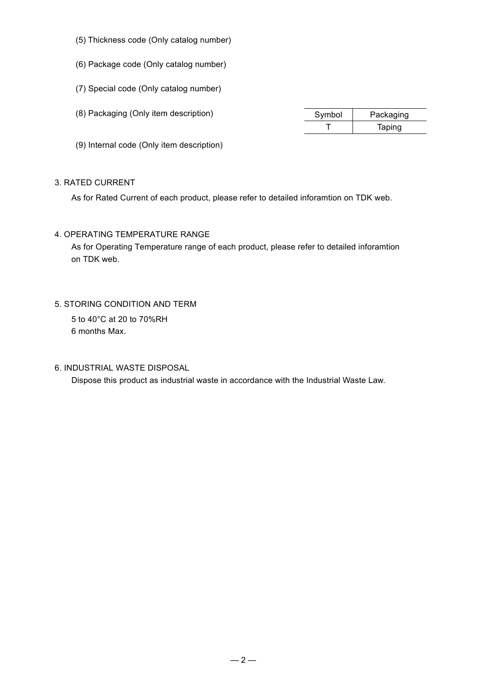- (5) Thickness code (Only catalog number)
- (6) Package code (Only catalog number)
- (7) Special code (Only catalog number)
- (8) Packaging (Only item description) Symbol | Packaging

T | Taping

(9) Internal code (Only item description)

#### 3. RATED CURRENT

As for Rated Current of each product, please refer to detailed inforamtion on TDK web.

4. OPERATING TEMPERATURE RANGE

As for Operating Temperature range of each product, please refer to detailed inforamtion on TDK web.

5. STORING CONDITION AND TERM

5 to 40°C at 20 to 70%RH 6 months Max.

6. INDUSTRIAL WASTE DISPOSAL

Dispose this product as industrial waste in accordance with the Industrial Waste Law.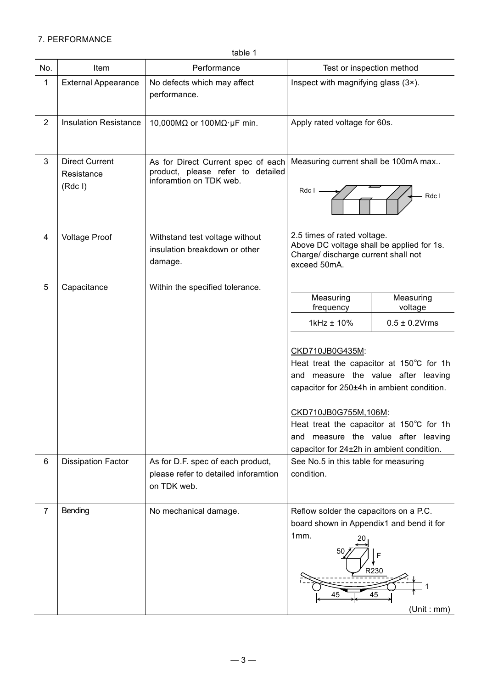### 7. PERFORMANCE

| table |  |
|-------|--|
|-------|--|

| No.            | Item                                             | Performance                                                                                                                 | Test or inspection method                                                                                                                                                                                                                                                                                                                                                                                                                               |
|----------------|--------------------------------------------------|-----------------------------------------------------------------------------------------------------------------------------|---------------------------------------------------------------------------------------------------------------------------------------------------------------------------------------------------------------------------------------------------------------------------------------------------------------------------------------------------------------------------------------------------------------------------------------------------------|
| $\mathbf 1$    | <b>External Appearance</b>                       | No defects which may affect<br>performance.                                                                                 | Inspect with magnifying glass (3x).                                                                                                                                                                                                                                                                                                                                                                                                                     |
| $\overline{2}$ | <b>Insulation Resistance</b>                     | 10,000M $\Omega$ or 100M $\Omega$ · µF min.                                                                                 | Apply rated voltage for 60s.                                                                                                                                                                                                                                                                                                                                                                                                                            |
| $\mathbf{3}$   | <b>Direct Current</b><br>Resistance<br>$(Rdc$ I) | As for Direct Current spec of each<br>product, please refer to detailed<br>inforamtion on TDK web.                          | Measuring current shall be 100mA max<br>Rdc I<br>Rdc I                                                                                                                                                                                                                                                                                                                                                                                                  |
| $\overline{4}$ | <b>Voltage Proof</b>                             | Withstand test voltage without<br>insulation breakdown or other<br>damage.                                                  | 2.5 times of rated voltage.<br>Above DC voltage shall be applied for 1s.<br>Charge/ discharge current shall not<br>exceed 50mA.                                                                                                                                                                                                                                                                                                                         |
| 5<br>6         | Capacitance<br><b>Dissipation Factor</b>         | Within the specified tolerance.<br>As for D.F. spec of each product,<br>please refer to detailed inforamtion<br>on TDK web. | Measuring<br>Measuring<br>frequency<br>voltage<br>1kHz ± 10%<br>$0.5 \pm 0.2$ Vrms<br>CKD710JB0G435M:<br>Heat treat the capacitor at 150°C for 1h<br>and measure the value after leaving<br>capacitor for 250±4h in ambient condition.<br>CKD710JB0G755M,106M:<br>Heat treat the capacitor at 150°C for 1h<br>measure the value after leaving<br>and<br>capacitor for 24±2h in ambient condition.<br>See No.5 in this table for measuring<br>condition. |
| $\overline{7}$ | Bending                                          | No mechanical damage.                                                                                                       | Reflow solder the capacitors on a P.C.<br>board shown in Appendix1 and bend it for<br>1mm.<br>50<br>F<br>R230<br>45<br>45<br>(Unit : mm)                                                                                                                                                                                                                                                                                                                |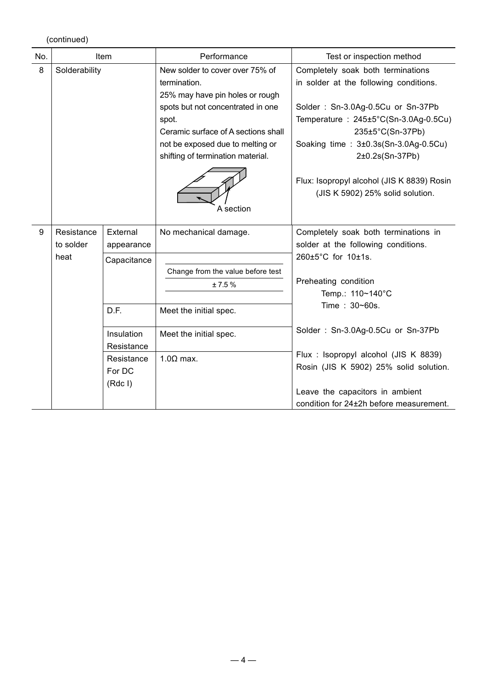(continued)

| No. |                                 | Item                                  | Performance                                                                                                                                                                                                                                                   | Test or inspection method                                                                                                                                                                                                                                                                                                              |
|-----|---------------------------------|---------------------------------------|---------------------------------------------------------------------------------------------------------------------------------------------------------------------------------------------------------------------------------------------------------------|----------------------------------------------------------------------------------------------------------------------------------------------------------------------------------------------------------------------------------------------------------------------------------------------------------------------------------------|
| 8   | Solderability                   |                                       | New solder to cover over 75% of<br>termination.<br>25% may have pin holes or rough<br>spots but not concentrated in one<br>spot.<br>Ceramic surface of A sections shall<br>not be exposed due to melting or<br>shifting of termination material.<br>A section | Completely soak both terminations<br>in solder at the following conditions.<br>Solder: Sn-3.0Ag-0.5Cu or Sn-37Pb<br>Temperature : $245\pm5^{\circ}$ C(Sn-3.0Ag-0.5Cu)<br>235±5°C(Sn-37Pb)<br>Soaking time: 3±0.3s(Sn-3.0Ag-0.5Cu)<br>2±0.2s(Sn-37Pb)<br>Flux: Isopropyl alcohol (JIS K 8839) Rosin<br>(JIS K 5902) 25% solid solution. |
| 9   | Resistance<br>to solder<br>heat | External<br>appearance<br>Capacitance | No mechanical damage.<br>Change from the value before test<br>± 7.5%                                                                                                                                                                                          | Completely soak both terminations in<br>solder at the following conditions.<br>260±5°C for 10±1s.<br>Preheating condition<br>Temp.: 110~140°C                                                                                                                                                                                          |
|     |                                 | D.F.                                  | Meet the initial spec.                                                                                                                                                                                                                                        | Time: 30~60s.                                                                                                                                                                                                                                                                                                                          |
|     |                                 | Insulation<br>Resistance              | Meet the initial spec.                                                                                                                                                                                                                                        | Solder: Sn-3.0Ag-0.5Cu or Sn-37Pb                                                                                                                                                                                                                                                                                                      |
|     |                                 | Resistance<br>For DC<br>$(Rdc$ I)     | $1.0\Omega$ max.                                                                                                                                                                                                                                              | Flux : Isopropyl alcohol (JIS K 8839)<br>Rosin (JIS K 5902) 25% solid solution.<br>Leave the capacitors in ambient<br>condition for 24±2h before measurement.                                                                                                                                                                          |
|     |                                 |                                       |                                                                                                                                                                                                                                                               |                                                                                                                                                                                                                                                                                                                                        |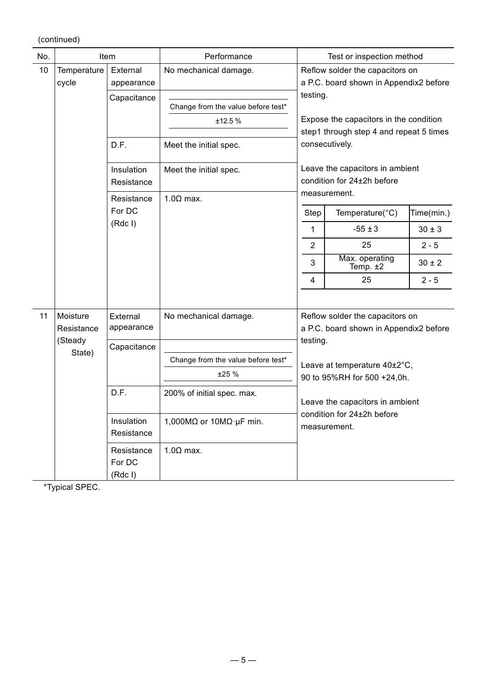(continued)

| No. |                      | Item                            | Performance                               |                | Test or inspection method                                                 |            |
|-----|----------------------|---------------------------------|-------------------------------------------|----------------|---------------------------------------------------------------------------|------------|
| 10  | Temperature<br>cycle | External<br>appearance          | No mechanical damage.                     |                | Reflow solder the capacitors on<br>a P.C. board shown in Appendix2 before |            |
|     |                      | Capacitance                     |                                           | testing.       |                                                                           |            |
|     |                      |                                 | Change from the value before test*        |                |                                                                           |            |
|     |                      |                                 | ±12.5 %                                   |                | Expose the capacitors in the condition                                    |            |
|     |                      |                                 |                                           |                | step1 through step 4 and repeat 5 times                                   |            |
|     |                      | D.F.                            | Meet the initial spec.                    |                | consecutively.                                                            |            |
|     |                      | Insulation                      | Meet the initial spec.                    |                | Leave the capacitors in ambient                                           |            |
|     |                      | Resistance                      |                                           |                | condition for 24±2h before                                                |            |
|     |                      | Resistance                      | $1.0\Omega$ max.                          |                | measurement.                                                              |            |
|     |                      | For DC                          |                                           | Step           | Temperature(°C)                                                           | Time(min.) |
|     |                      | $(Rdc$ I)                       |                                           | 1              | $-55 \pm 3$                                                               | $30 \pm 3$ |
|     |                      |                                 |                                           | $\overline{2}$ | 25                                                                        | $2 - 5$    |
|     |                      |                                 |                                           | 3              | Max. operating<br>Temp. $±2$                                              | $30 \pm 2$ |
|     |                      |                                 |                                           | 4              | 25                                                                        | $2 - 5$    |
|     |                      |                                 |                                           |                |                                                                           |            |
| 11  | Moisture             | External                        | No mechanical damage.                     |                | Reflow solder the capacitors on                                           |            |
|     | Resistance           | appearance                      |                                           |                | a P.C. board shown in Appendix2 before                                    |            |
|     | (Steady<br>State)    | Capacitance                     |                                           | testing.       |                                                                           |            |
|     |                      |                                 | Change from the value before test*        |                | Leave at temperature 40±2°C,                                              |            |
|     |                      |                                 | ±25%                                      |                | 90 to 95%RH for 500 +24,0h.                                               |            |
|     |                      | D.F.                            | 200% of initial spec. max.                |                | Leave the capacitors in ambient                                           |            |
|     |                      | Insulation<br>Resistance        | 1,000M $\Omega$ or 10M $\Omega$ · µF min. |                | condition for 24±2h before<br>measurement.                                |            |
|     |                      | Resistance<br>For DC<br>(Rdc I) | $1.0\Omega$ max.                          |                |                                                                           |            |

\*Typical SPEC.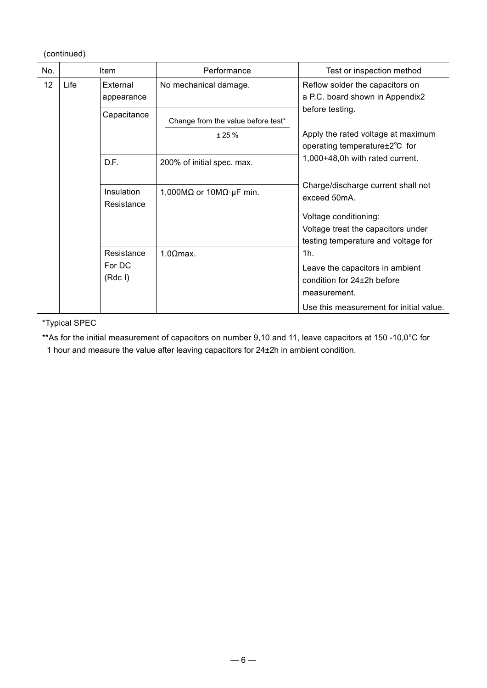(continued)

| No. |      | Item                            | Performance                                 | Test or inspection method                                                                                                                                |
|-----|------|---------------------------------|---------------------------------------------|----------------------------------------------------------------------------------------------------------------------------------------------------------|
| 12  | Life | External<br>appearance          | No mechanical damage.                       | Reflow solder the capacitors on<br>a P.C. board shown in Appendix2                                                                                       |
|     |      | Capacitance                     | Change from the value before test*<br>± 25% | before testing.<br>Apply the rated voltage at maximum<br>operating temperature ±2°C for                                                                  |
|     |      | D.F.                            | 200% of initial spec. max.                  | 1,000+48,0h with rated current.                                                                                                                          |
|     |      | Insulation<br>Resistance        | 1,000M $\Omega$ or 10M $\Omega$ · µF min.   | Charge/discharge current shall not<br>exceed 50mA.<br>Voltage conditioning:<br>Voltage treat the capacitors under<br>testing temperature and voltage for |
|     |      | Resistance<br>For DC<br>(Rdc I) | $1.0$ Qmax.                                 | 1h.<br>Leave the capacitors in ambient<br>condition for 24+2h before<br>measurement.<br>Use this measurement for initial value.                          |

\*Typical SPEC

\*\*As for the initial measurement of capacitors on number 9,10 and 11, leave capacitors at 150 -10,0°C for 1 hour and measure the value after leaving capacitors for 24±2h in ambient condition.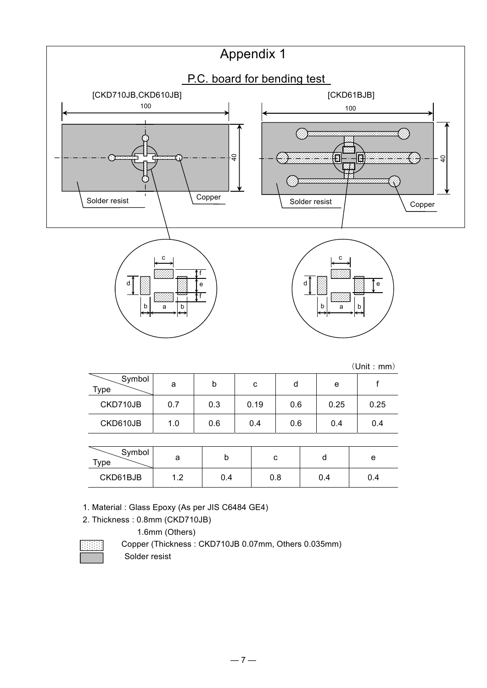

 $(Unit \cdot mm)$ 

| Symbol<br><b>Type</b> | a   | b   | с    | d   | e    |      |
|-----------------------|-----|-----|------|-----|------|------|
| CKD710JB              | 0.7 | 0.3 | 0.19 | 0.6 | 0.25 | 0.25 |
| CKD610JB              | 1.0 | 0.6 | 0.4  | 0.6 | 0.4  | 0.4  |
|                       |     |     |      |     |      |      |

| Symbol<br>$\tau_{\texttt{Vpe}}$ | a                               | ∼    |     |     | е   |
|---------------------------------|---------------------------------|------|-----|-----|-----|
| CKD61BJB                        | 1 ^<br>$\overline{\phantom{a}}$ | .4 ل | 0.8 | U.4 | 0.4 |

1. Material : Glass Epoxy (As per JIS C6484 GE4)

2. Thickness : 0.8mm (CKD710JB)

1.6mm (Others)

Copper (Thickness: CKD710JB 0.07mm, Others 0.035mm) Solder resist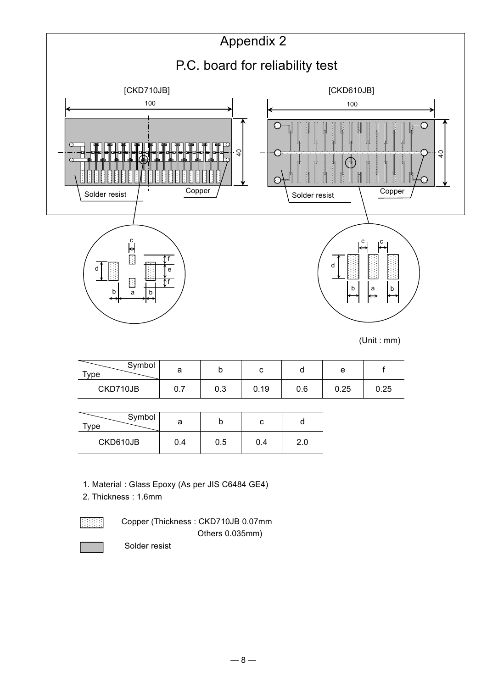

| Symbol<br>$T$ vpe | а   |     |     |  |
|-------------------|-----|-----|-----|--|
| CKD610JB          | 0.4 | 0.5 | 0.4 |  |

1. Material : Glass Epoxy (As per JIS C6484 GE4)

2. Thickness : 1.6mm

 Copper (Thickness : CKD710JB 0.07mm Others 0.035mm)

Solder resist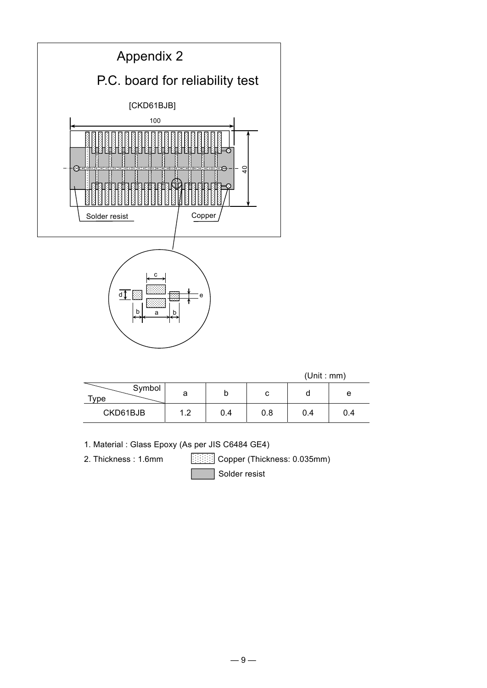

|                |     |     |     | (Unit : mm) |     |
|----------------|-----|-----|-----|-------------|-----|
| Symbol<br>Type | а   |     | С   |             | e   |
| CKD61BJB       | 1.2 | 0.4 | 0.8 | 0.4         | 0.4 |

1. Material : Glass Epoxy (As per JIS C6484 GE4)

2. Thickness : 1.6mm **Copper (Thickness: 0.035mm)** 

Solder resist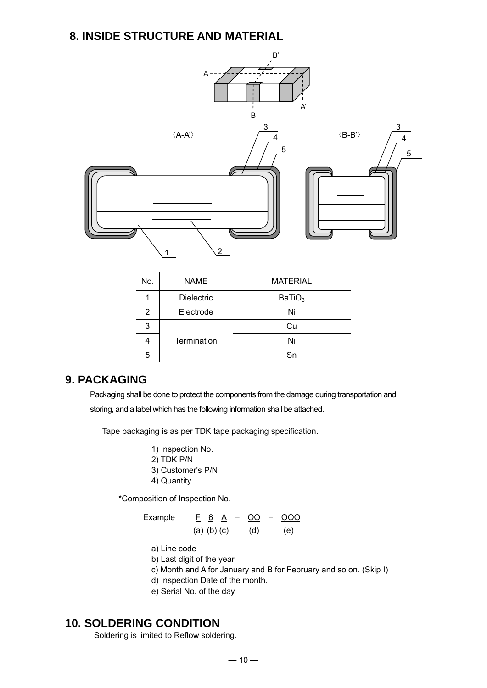### **8. INSIDE STRUCTURE AND MATERIAL**



| No. | <b>NAME</b>       | <b>MATERIAL</b>    |
|-----|-------------------|--------------------|
|     | <b>Dielectric</b> | BaTiO <sub>3</sub> |
| 2   | Electrode         | Ni                 |
| 3   |                   | Cu                 |
|     | Termination       | Ni                 |
| 5   |                   | Sn                 |

### **9. PACKAGING**

Packaging shall be done to protect the components from the damage during transportation and storing, and a label which has the following information shall be attached.

Tape packaging is as per TDK tape packaging specification.

1) Inspection No. 2) TDK P/N 3) Customer's P/N 4) Quantity

\*Composition of Inspection No.

Example  $E \underline{6} \underline{A} - \underline{OO} - \underline{OOO}$ (a) (b) (c) (d) (e)

- a) Line code
- b) Last digit of the year
- c) Month and A for January and B for February and so on. (Skip I)
- d) Inspection Date of the month.
- e) Serial No. of the day

### **10. SOLDERING CONDITION**

Soldering is limited to Reflow soldering.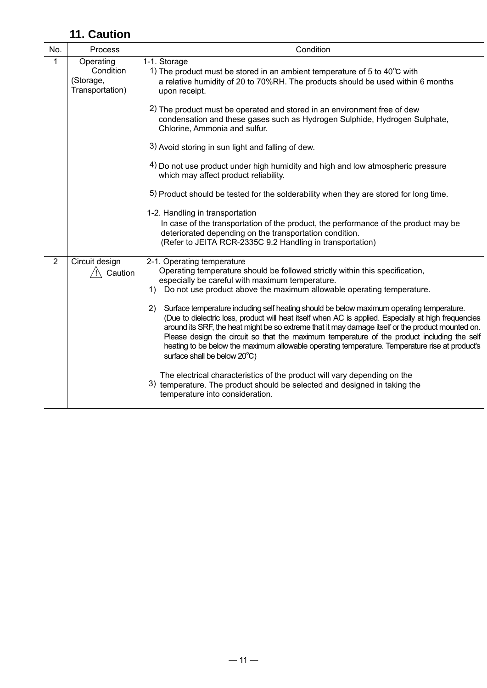### **11. Caution**

| No.            | Process                                                | Condition                                                                                                                                                                                                                                                                                                                                                                                                                                                                                                                                     |
|----------------|--------------------------------------------------------|-----------------------------------------------------------------------------------------------------------------------------------------------------------------------------------------------------------------------------------------------------------------------------------------------------------------------------------------------------------------------------------------------------------------------------------------------------------------------------------------------------------------------------------------------|
| 1              | Operating<br>Condition<br>(Storage,<br>Transportation) | 1-1. Storage<br>1) The product must be stored in an ambient temperature of 5 to 40 $^{\circ}$ C with<br>a relative humidity of 20 to 70%RH. The products should be used within 6 months<br>upon receipt.                                                                                                                                                                                                                                                                                                                                      |
|                |                                                        | 2) The product must be operated and stored in an environment free of dew<br>condensation and these gases such as Hydrogen Sulphide, Hydrogen Sulphate,<br>Chlorine, Ammonia and sulfur.                                                                                                                                                                                                                                                                                                                                                       |
|                |                                                        | 3) Avoid storing in sun light and falling of dew.                                                                                                                                                                                                                                                                                                                                                                                                                                                                                             |
|                |                                                        | 4) Do not use product under high humidity and high and low atmospheric pressure<br>which may affect product reliability.                                                                                                                                                                                                                                                                                                                                                                                                                      |
|                |                                                        | 5) Product should be tested for the solderability when they are stored for long time.                                                                                                                                                                                                                                                                                                                                                                                                                                                         |
|                |                                                        | 1-2. Handling in transportation<br>In case of the transportation of the product, the performance of the product may be<br>deteriorated depending on the transportation condition.<br>(Refer to JEITA RCR-2335C 9.2 Handling in transportation)                                                                                                                                                                                                                                                                                                |
| $\overline{2}$ | Circuit design<br>Caution                              | 2-1. Operating temperature<br>Operating temperature should be followed strictly within this specification,<br>especially be careful with maximum temperature.<br>Do not use product above the maximum allowable operating temperature.<br>1)                                                                                                                                                                                                                                                                                                  |
|                |                                                        | Surface temperature including self heating should be below maximum operating temperature.<br>2)<br>(Due to dielectric loss, product will heat itself when AC is applied. Especially at high frequencies<br>around its SRF, the heat might be so extreme that it may damage itself or the product mounted on.<br>Please design the circuit so that the maximum temperature of the product including the self<br>heating to be below the maximum allowable operating temperature. Temperature rise at product's<br>surface shall be below 20°C) |
|                |                                                        | The electrical characteristics of the product will vary depending on the<br>3) temperature. The product should be selected and designed in taking the<br>temperature into consideration.                                                                                                                                                                                                                                                                                                                                                      |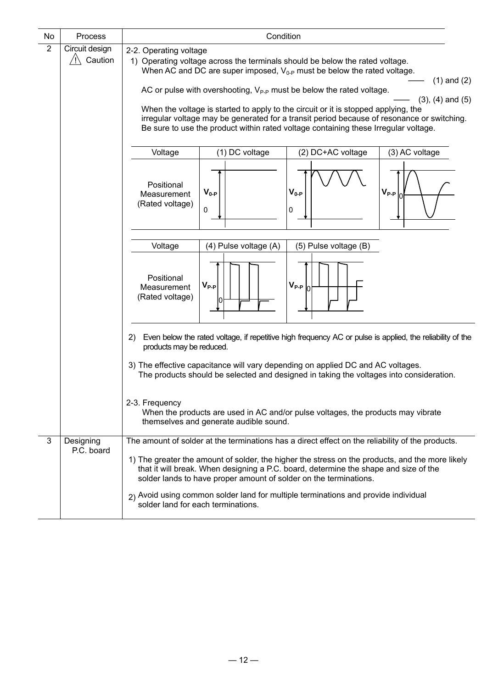| No             | Process                   | Condition                                                                                                                                                                                                                                                                                                                                                                                                                                                                                                                                                                                                                                     |                 |  |
|----------------|---------------------------|-----------------------------------------------------------------------------------------------------------------------------------------------------------------------------------------------------------------------------------------------------------------------------------------------------------------------------------------------------------------------------------------------------------------------------------------------------------------------------------------------------------------------------------------------------------------------------------------------------------------------------------------------|-----------------|--|
| $\overline{2}$ | Circuit design<br>Caution | 2-2. Operating voltage<br>1) Operating voltage across the terminals should be below the rated voltage.<br>When AC and DC are super imposed, $V_{0-P}$ must be below the rated voltage.<br>AC or pulse with overshooting, $V_{P-P}$ must be below the rated voltage.<br>$(3)$ , $(4)$ and $(5)$<br>When the voltage is started to apply to the circuit or it is stopped applying, the<br>irregular voltage may be generated for a transit period because of resonance or switching.<br>Be sure to use the product within rated voltage containing these Irregular voltage.<br>Voltage<br>(1) DC voltage<br>(2) DC+AC voltage<br>(3) AC voltage | $(1)$ and $(2)$ |  |
|                |                           | Positional<br>$V_{0-P}$<br>$V_{P-P}$<br>$V_{0-P}$<br>Measurement<br>(Rated voltage)<br>0<br>0                                                                                                                                                                                                                                                                                                                                                                                                                                                                                                                                                 |                 |  |
|                |                           | Voltage<br>(4) Pulse voltage (A)<br>(5) Pulse voltage (B)<br>Positional<br>$V_{P-P}$<br>$V_{P-P}$<br>Measurement<br>(Rated voltage)                                                                                                                                                                                                                                                                                                                                                                                                                                                                                                           |                 |  |
|                |                           | Even below the rated voltage, if repetitive high frequency AC or pulse is applied, the reliability of the<br>2)<br>products may be reduced.<br>3) The effective capacitance will vary depending on applied DC and AC voltages.<br>The products should be selected and designed in taking the voltages into consideration.<br>2-3. Frequency<br>When the products are used in AC and/or pulse voltages, the products may vibrate<br>themselves and generate audible sound.                                                                                                                                                                     |                 |  |
| 3              | Designing<br>P.C. board   | The amount of solder at the terminations has a direct effect on the reliability of the products.<br>1) The greater the amount of solder, the higher the stress on the products, and the more likely<br>that it will break. When designing a P.C. board, determine the shape and size of the<br>solder lands to have proper amount of solder on the terminations.<br>2) Avoid using common solder land for multiple terminations and provide individual<br>solder land for each terminations.                                                                                                                                                  |                 |  |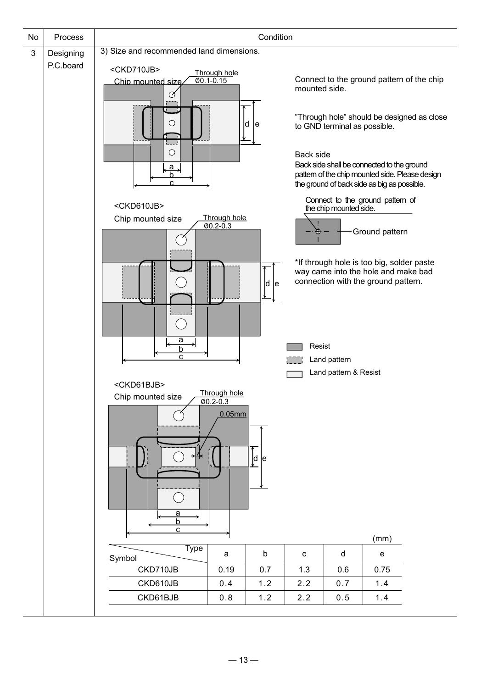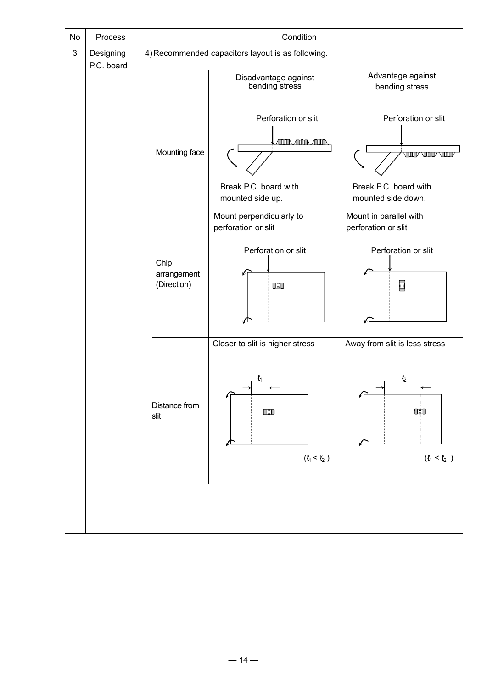|                         |                                    | Condition                                                                                    |                                                                                               |
|-------------------------|------------------------------------|----------------------------------------------------------------------------------------------|-----------------------------------------------------------------------------------------------|
| Designing<br>P.C. board |                                    |                                                                                              |                                                                                               |
|                         |                                    | Disadvantage against<br>bending stress                                                       | Advantage against<br>bending stress                                                           |
|                         | Mounting face                      | Perforation or slit<br><b>ATIDA ATIDA ATIDA</b><br>Break P.C. board with<br>mounted side up. | Perforation or slit<br><b>TOODY TOODY TOOD</b><br>Break P.C. board with<br>mounted side down. |
|                         | Chip<br>arrangement<br>(Direction) | Mount perpendicularly to<br>perforation or slit<br>Perforation or slit<br>$\mathbb{C}$       | Mount in parallel with<br>perforation or slit<br>Perforation or slit<br>国                     |
|                         | Distance from<br>slit              | Closer to slit is higher stress<br>$\mathbf{\ell}_1$<br>œ<br>$(\ell_1<\ell_2$ )              | Away from slit is less stress<br>$\mathbf{\ell}_2$<br>$(\ell_1 < \ell_2$ )                    |
|                         |                                    |                                                                                              | 4) Recommended capacitors layout is as following.                                             |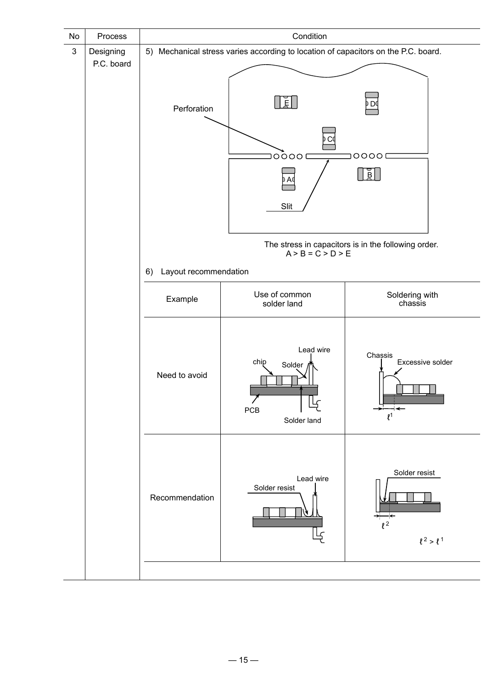| No | Process                 |                             | Condition                                                                          |                                                     |  |
|----|-------------------------|-----------------------------|------------------------------------------------------------------------------------|-----------------------------------------------------|--|
| 3  | Designing<br>P.C. board |                             | 5) Mechanical stress varies according to location of capacitors on the P.C. board. |                                                     |  |
|    |                         | Perforation                 | $\frac{1}{2}$<br>C٥<br>00001<br>A٥<br>Slit                                         | <b>DO</b><br>00001<br>$\overline{\mathbb{R}}$       |  |
|    |                         |                             | $A > B = C > D > E$                                                                | The stress in capacitors is in the following order. |  |
|    |                         | Layout recommendation<br>6) |                                                                                    |                                                     |  |
|    |                         | Example                     | Use of common<br>solder land                                                       | Soldering with<br>chassis                           |  |
|    |                         | Need to avoid               | Lead wire<br>chip<br>Solder<br>PCB<br>Solder land                                  | Chassis<br>Excessive solder<br>$\ell$ <sup>1</sup>  |  |
|    |                         | Recommendation              | Lead wire<br>Solder resist                                                         | Solder resist<br>$l^2$<br>$\ell^2 > \ell^1$         |  |
|    |                         |                             |                                                                                    |                                                     |  |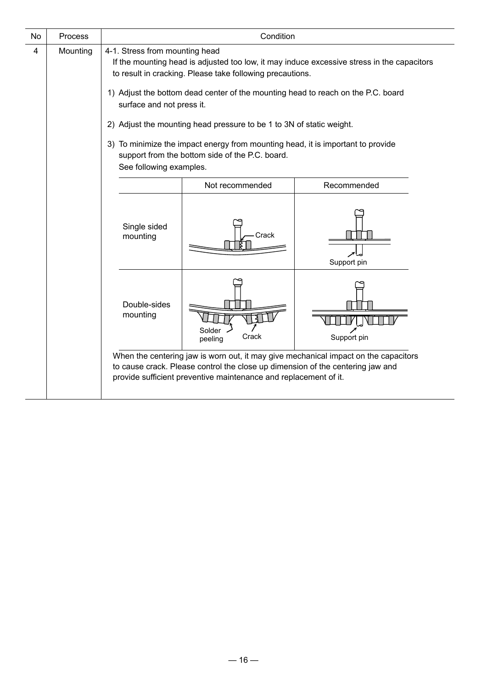| No | Process  | Condition                                                                                                                                                                                                                                                                                                                                                                                                                                                                                                                                           |                                                                                                                                                    |                                                                                     |  |
|----|----------|-----------------------------------------------------------------------------------------------------------------------------------------------------------------------------------------------------------------------------------------------------------------------------------------------------------------------------------------------------------------------------------------------------------------------------------------------------------------------------------------------------------------------------------------------------|----------------------------------------------------------------------------------------------------------------------------------------------------|-------------------------------------------------------------------------------------|--|
| 4  | Mounting | 4-1. Stress from mounting head<br>If the mounting head is adjusted too low, it may induce excessive stress in the capacitors<br>to result in cracking. Please take following precautions.<br>1) Adjust the bottom dead center of the mounting head to reach on the P.C. board<br>surface and not press it.<br>2) Adjust the mounting head pressure to be 1 to 3N of static weight.<br>3) To minimize the impact energy from mounting head, it is important to provide<br>support from the bottom side of the P.C. board.<br>See following examples. |                                                                                                                                                    |                                                                                     |  |
|    |          | Not recommended<br>Recommended                                                                                                                                                                                                                                                                                                                                                                                                                                                                                                                      |                                                                                                                                                    |                                                                                     |  |
|    |          | Single sided<br>mounting                                                                                                                                                                                                                                                                                                                                                                                                                                                                                                                            | Crack                                                                                                                                              | Support pin                                                                         |  |
|    |          | Double-sides<br>mounting                                                                                                                                                                                                                                                                                                                                                                                                                                                                                                                            | Solder<br>Crack<br>peeling                                                                                                                         | Support pin                                                                         |  |
|    |          |                                                                                                                                                                                                                                                                                                                                                                                                                                                                                                                                                     | to cause crack. Please control the close up dimension of the centering jaw and<br>provide sufficient preventive maintenance and replacement of it. | When the centering jaw is worn out, it may give mechanical impact on the capacitors |  |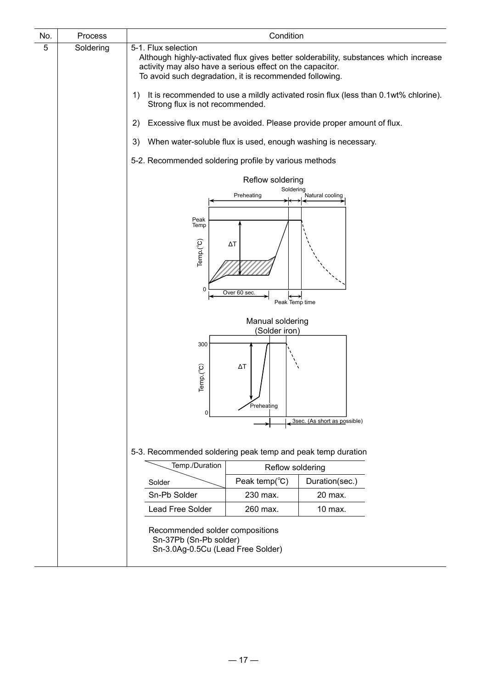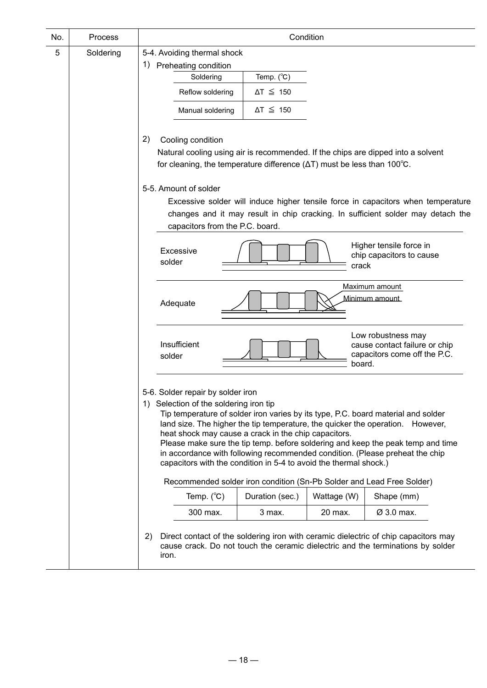| No. | Process   | Condition                                                                                                                                                                                                                                                                                                                                                                                                                                                                                                                                          |
|-----|-----------|----------------------------------------------------------------------------------------------------------------------------------------------------------------------------------------------------------------------------------------------------------------------------------------------------------------------------------------------------------------------------------------------------------------------------------------------------------------------------------------------------------------------------------------------------|
| 5   | Soldering | 5-4. Avoiding thermal shock                                                                                                                                                                                                                                                                                                                                                                                                                                                                                                                        |
|     |           | 1)<br>Preheating condition                                                                                                                                                                                                                                                                                                                                                                                                                                                                                                                         |
|     |           | Temp. $(^{\circ}C)$<br>Soldering                                                                                                                                                                                                                                                                                                                                                                                                                                                                                                                   |
|     |           | Reflow soldering<br>$\Delta T \leq 150$                                                                                                                                                                                                                                                                                                                                                                                                                                                                                                            |
|     |           | Manual soldering<br>$\Delta T \leq 150$                                                                                                                                                                                                                                                                                                                                                                                                                                                                                                            |
|     |           | 2)<br>Cooling condition<br>Natural cooling using air is recommended. If the chips are dipped into a solvent<br>for cleaning, the temperature difference $(\Delta T)$ must be less than 100 $^{\circ}$ C.<br>5-5. Amount of solder<br>Excessive solder will induce higher tensile force in capacitors when temperature<br>changes and it may result in chip cracking. In sufficient solder may detach the                                                                                                                                           |
|     |           | capacitors from the P.C. board.                                                                                                                                                                                                                                                                                                                                                                                                                                                                                                                    |
|     |           | Higher tensile force in<br>Excessive<br>chip capacitors to cause<br>solder<br>crack                                                                                                                                                                                                                                                                                                                                                                                                                                                                |
|     |           | Maximum amount<br>Minimum amount<br>Adequate                                                                                                                                                                                                                                                                                                                                                                                                                                                                                                       |
|     |           | Low robustness may<br>Insufficient<br>cause contact failure or chip<br>capacitors come off the P.C.<br>solder<br>board.                                                                                                                                                                                                                                                                                                                                                                                                                            |
|     |           | 5-6. Solder repair by solder iron<br>1) Selection of the soldering iron tip<br>Tip temperature of solder iron varies by its type, P.C. board material and solder<br>land size. The higher the tip temperature, the quicker the operation. However,<br>heat shock may cause a crack in the chip capacitors.<br>Please make sure the tip temp. before soldering and keep the peak temp and time<br>in accordance with following recommended condition. (Please preheat the chip<br>capacitors with the condition in 5-4 to avoid the thermal shock.) |
|     |           | Recommended solder iron condition (Sn-Pb Solder and Lead Free Solder)                                                                                                                                                                                                                                                                                                                                                                                                                                                                              |
|     |           | Temp. $(^{\circ}C)$<br>Wattage (W)<br>Shape (mm)<br>Duration (sec.)                                                                                                                                                                                                                                                                                                                                                                                                                                                                                |
|     |           | Ø 3.0 max.<br>300 max.<br>20 max.<br>3 max.                                                                                                                                                                                                                                                                                                                                                                                                                                                                                                        |
|     |           | Direct contact of the soldering iron with ceramic dielectric of chip capacitors may<br>2)<br>cause crack. Do not touch the ceramic dielectric and the terminations by solder<br>iron.                                                                                                                                                                                                                                                                                                                                                              |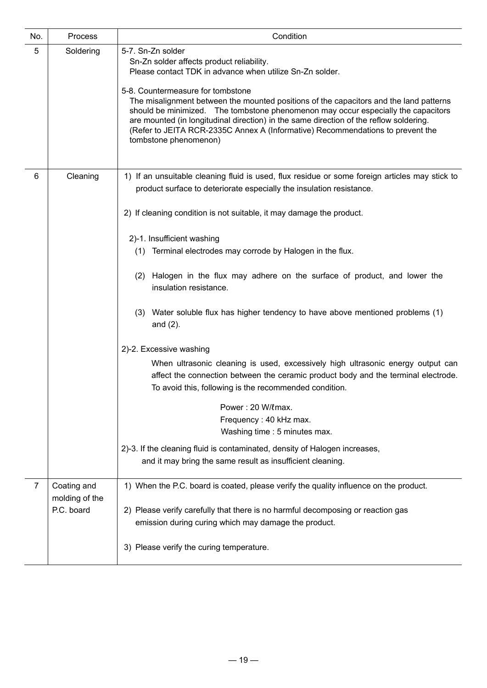| No.            | Process                                     | Condition                                                                                                                                                                                                                                                                                                                                                                                                                                                                                                                                                                                                                                                                                                                                                                                                                                                                                                                                                                                                                                        |
|----------------|---------------------------------------------|--------------------------------------------------------------------------------------------------------------------------------------------------------------------------------------------------------------------------------------------------------------------------------------------------------------------------------------------------------------------------------------------------------------------------------------------------------------------------------------------------------------------------------------------------------------------------------------------------------------------------------------------------------------------------------------------------------------------------------------------------------------------------------------------------------------------------------------------------------------------------------------------------------------------------------------------------------------------------------------------------------------------------------------------------|
| 5              | Soldering                                   | 5-7. Sn-Zn solder<br>Sn-Zn solder affects product reliability.<br>Please contact TDK in advance when utilize Sn-Zn solder.<br>5-8. Countermeasure for tombstone<br>The misalignment between the mounted positions of the capacitors and the land patterns<br>should be minimized. The tombstone phenomenon may occur especially the capacitors<br>are mounted (in longitudinal direction) in the same direction of the reflow soldering.<br>(Refer to JEITA RCR-2335C Annex A (Informative) Recommendations to prevent the<br>tombstone phenomenon)                                                                                                                                                                                                                                                                                                                                                                                                                                                                                              |
| 6              | Cleaning                                    | 1) If an unsuitable cleaning fluid is used, flux residue or some foreign articles may stick to<br>product surface to deteriorate especially the insulation resistance.<br>2) If cleaning condition is not suitable, it may damage the product.<br>2)-1. Insufficient washing<br>(1) Terminal electrodes may corrode by Halogen in the flux.<br>(2) Halogen in the flux may adhere on the surface of product, and lower the<br>insulation resistance.<br>(3) Water soluble flux has higher tendency to have above mentioned problems (1)<br>and $(2)$ .<br>2)-2. Excessive washing<br>When ultrasonic cleaning is used, excessively high ultrasonic energy output can<br>affect the connection between the ceramic product body and the terminal electrode.<br>To avoid this, following is the recommended condition.<br>Power: 20 W/lmax.<br>Frequency: 40 kHz max.<br>Washing time : 5 minutes max.<br>2)-3. If the cleaning fluid is contaminated, density of Halogen increases,<br>and it may bring the same result as insufficient cleaning. |
| $\overline{7}$ | Coating and<br>molding of the<br>P.C. board | 1) When the P.C. board is coated, please verify the quality influence on the product.<br>2) Please verify carefully that there is no harmful decomposing or reaction gas<br>emission during curing which may damage the product.<br>3) Please verify the curing temperature.                                                                                                                                                                                                                                                                                                                                                                                                                                                                                                                                                                                                                                                                                                                                                                     |
|                |                                             |                                                                                                                                                                                                                                                                                                                                                                                                                                                                                                                                                                                                                                                                                                                                                                                                                                                                                                                                                                                                                                                  |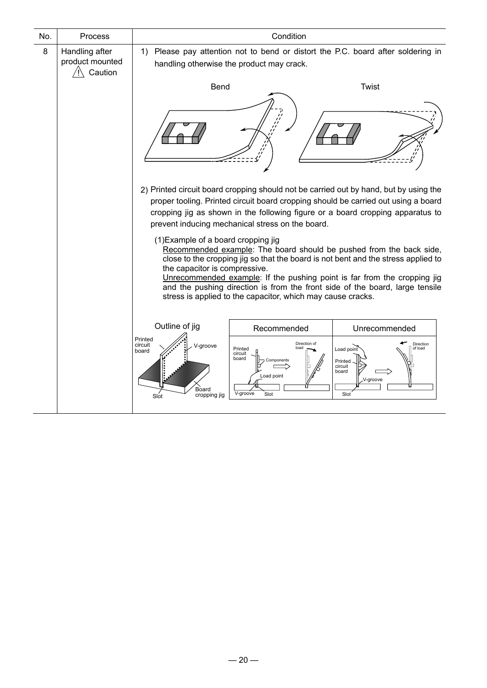| No. | Process                                      |                                                                                                                                  | Condition                                                                                           |                                                                                                                                                                                                                                                                                                                      |
|-----|----------------------------------------------|----------------------------------------------------------------------------------------------------------------------------------|-----------------------------------------------------------------------------------------------------|----------------------------------------------------------------------------------------------------------------------------------------------------------------------------------------------------------------------------------------------------------------------------------------------------------------------|
| 8   | Handling after<br>product mounted<br>Caution | Please pay attention not to bend or distort the P.C. board after soldering in<br>1)<br>handling otherwise the product may crack. |                                                                                                     |                                                                                                                                                                                                                                                                                                                      |
|     |                                              | Bend                                                                                                                             |                                                                                                     | Twist                                                                                                                                                                                                                                                                                                                |
|     |                                              |                                                                                                                                  |                                                                                                     |                                                                                                                                                                                                                                                                                                                      |
|     |                                              |                                                                                                                                  | prevent inducing mechanical stress on the board.                                                    | 2) Printed circuit board cropping should not be carried out by hand, but by using the<br>proper tooling. Printed circuit board cropping should be carried out using a board<br>cropping jig as shown in the following figure or a board cropping apparatus to                                                        |
|     |                                              | (1) Example of a board cropping jig<br>the capacitor is compressive.                                                             | stress is applied to the capacitor, which may cause cracks.                                         | Recommended example: The board should be pushed from the back side,<br>close to the cropping jig so that the board is not bent and the stress applied to<br>Unrecommended example: If the pushing point is far from the cropping jig<br>and the pushing direction is from the front side of the board, large tensile |
|     |                                              | Outline of jig                                                                                                                   | Recommended                                                                                         | Unrecommended                                                                                                                                                                                                                                                                                                        |
|     |                                              | Printed<br>circuit<br>V-groove<br>board<br>Board<br>cropping jig<br>Slot                                                         | Direction of<br>Inad<br>Printed<br>circuit<br>board<br>Components<br>Load point<br>V-groove<br>Slot | Direction<br>Load point<br>of load<br>Printed<br>circuit<br>board<br>V-groove<br>Slot                                                                                                                                                                                                                                |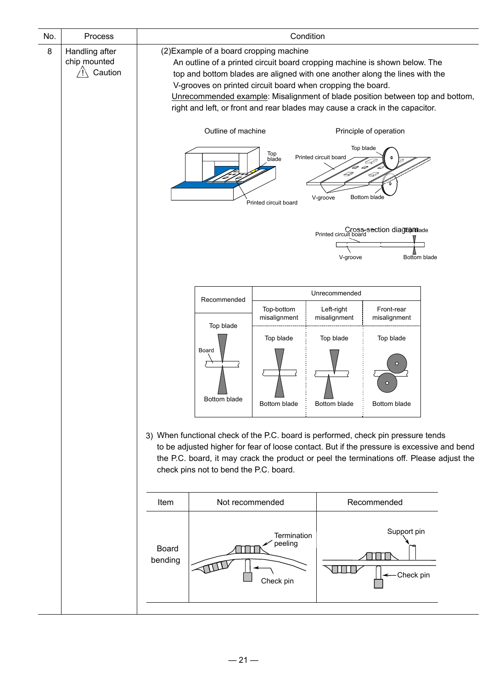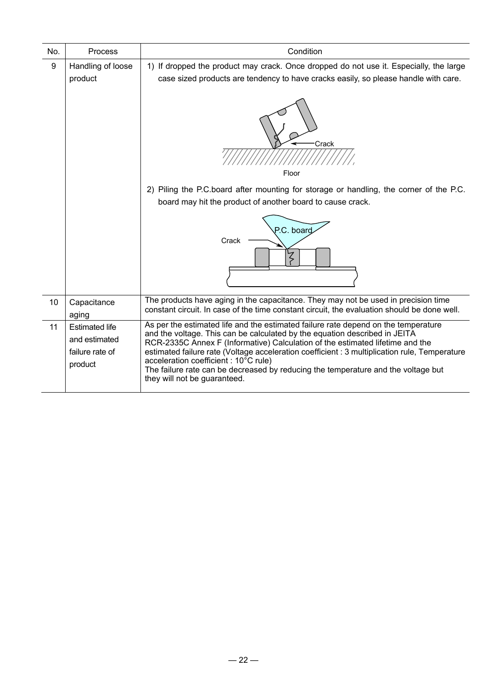| No. | <b>Process</b>                                                       | Condition                                                                                                                                                                                                                                                                                                                                                                                                                                                                                                                  |
|-----|----------------------------------------------------------------------|----------------------------------------------------------------------------------------------------------------------------------------------------------------------------------------------------------------------------------------------------------------------------------------------------------------------------------------------------------------------------------------------------------------------------------------------------------------------------------------------------------------------------|
| 9   | Handling of loose<br>product                                         | 1) If dropped the product may crack. Once dropped do not use it. Especially, the large<br>case sized products are tendency to have cracks easily, so please handle with care.                                                                                                                                                                                                                                                                                                                                              |
|     |                                                                      | Crack<br>Floor                                                                                                                                                                                                                                                                                                                                                                                                                                                                                                             |
|     |                                                                      | 2) Piling the P.C.board after mounting for storage or handling, the corner of the P.C.<br>board may hit the product of another board to cause crack.                                                                                                                                                                                                                                                                                                                                                                       |
|     |                                                                      | P.C. board<br>Crack                                                                                                                                                                                                                                                                                                                                                                                                                                                                                                        |
| 10  | Capacitance<br>aging                                                 | The products have aging in the capacitance. They may not be used in precision time<br>constant circuit. In case of the time constant circuit, the evaluation should be done well.                                                                                                                                                                                                                                                                                                                                          |
| 11  | <b>Estimated life</b><br>and estimated<br>failure rate of<br>product | As per the estimated life and the estimated failure rate depend on the temperature<br>and the voltage. This can be calculated by the equation described in JEITA<br>RCR-2335C Annex F (Informative) Calculation of the estimated lifetime and the<br>estimated failure rate (Voltage acceleration coefficient : 3 multiplication rule, Temperature<br>acceleration coefficient : $10^{\circ}$ C rule)<br>The failure rate can be decreased by reducing the temperature and the voltage but<br>they will not be guaranteed. |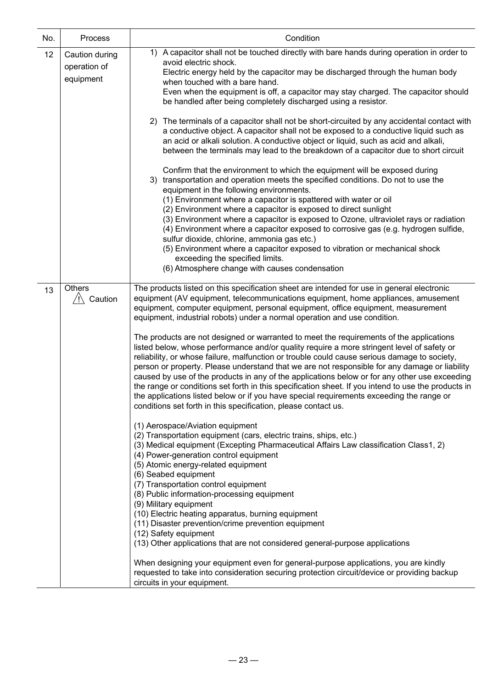| No. | Process                                     | Condition                                                                                                                                                                                                                                                                                                                                                                                                                                                                                                                                                                                                                                                                                                                                                                                                                                                                                                                                                                                                                                                                                                        |  |  |  |
|-----|---------------------------------------------|------------------------------------------------------------------------------------------------------------------------------------------------------------------------------------------------------------------------------------------------------------------------------------------------------------------------------------------------------------------------------------------------------------------------------------------------------------------------------------------------------------------------------------------------------------------------------------------------------------------------------------------------------------------------------------------------------------------------------------------------------------------------------------------------------------------------------------------------------------------------------------------------------------------------------------------------------------------------------------------------------------------------------------------------------------------------------------------------------------------|--|--|--|
| 12  | Caution during<br>operation of<br>equipment | 1) A capacitor shall not be touched directly with bare hands during operation in order to<br>avoid electric shock.<br>Electric energy held by the capacitor may be discharged through the human body<br>when touched with a bare hand.<br>Even when the equipment is off, a capacitor may stay charged. The capacitor should<br>be handled after being completely discharged using a resistor.<br>2) The terminals of a capacitor shall not be short-circuited by any accidental contact with                                                                                                                                                                                                                                                                                                                                                                                                                                                                                                                                                                                                                    |  |  |  |
|     |                                             | a conductive object. A capacitor shall not be exposed to a conductive liquid such as<br>an acid or alkali solution. A conductive object or liquid, such as acid and alkali,<br>between the terminals may lead to the breakdown of a capacitor due to short circuit                                                                                                                                                                                                                                                                                                                                                                                                                                                                                                                                                                                                                                                                                                                                                                                                                                               |  |  |  |
|     |                                             | Confirm that the environment to which the equipment will be exposed during<br>3) transportation and operation meets the specified conditions. Do not to use the<br>equipment in the following environments.<br>(1) Environment where a capacitor is spattered with water or oil<br>(2) Environment where a capacitor is exposed to direct sunlight<br>(3) Environment where a capacitor is exposed to Ozone, ultraviolet rays or radiation<br>(4) Environment where a capacitor exposed to corrosive gas (e.g. hydrogen sulfide,<br>sulfur dioxide, chlorine, ammonia gas etc.)<br>(5) Environment where a capacitor exposed to vibration or mechanical shock<br>exceeding the specified limits.                                                                                                                                                                                                                                                                                                                                                                                                                 |  |  |  |
|     |                                             | (6) Atmosphere change with causes condensation                                                                                                                                                                                                                                                                                                                                                                                                                                                                                                                                                                                                                                                                                                                                                                                                                                                                                                                                                                                                                                                                   |  |  |  |
| 13  | <b>Others</b><br>$/$ ! $\setminus$ Caution  | The products listed on this specification sheet are intended for use in general electronic<br>equipment (AV equipment, telecommunications equipment, home appliances, amusement<br>equipment, computer equipment, personal equipment, office equipment, measurement<br>equipment, industrial robots) under a normal operation and use condition.<br>The products are not designed or warranted to meet the requirements of the applications<br>listed below, whose performance and/or quality require a more stringent level of safety or<br>reliability, or whose failure, malfunction or trouble could cause serious damage to society,<br>person or property. Please understand that we are not responsible for any damage or liability<br>caused by use of the products in any of the applications below or for any other use exceeding<br>the range or conditions set forth in this specification sheet. If you intend to use the products in<br>the applications listed below or if you have special requirements exceeding the range or<br>conditions set forth in this specification, please contact us. |  |  |  |
|     |                                             | (1) Aerospace/Aviation equipment<br>(2) Transportation equipment (cars, electric trains, ships, etc.)<br>(3) Medical equipment (Excepting Pharmaceutical Affairs Law classification Class1, 2)<br>(4) Power-generation control equipment<br>(5) Atomic energy-related equipment<br>(6) Seabed equipment<br>(7) Transportation control equipment<br>(8) Public information-processing equipment<br>(9) Military equipment<br>(10) Electric heating apparatus, burning equipment<br>(11) Disaster prevention/crime prevention equipment<br>(12) Safety equipment<br>(13) Other applications that are not considered general-purpose applications<br>When designing your equipment even for general-purpose applications, you are kindly                                                                                                                                                                                                                                                                                                                                                                            |  |  |  |
|     |                                             | requested to take into consideration securing protection circuit/device or providing backup<br>circuits in your equipment.                                                                                                                                                                                                                                                                                                                                                                                                                                                                                                                                                                                                                                                                                                                                                                                                                                                                                                                                                                                       |  |  |  |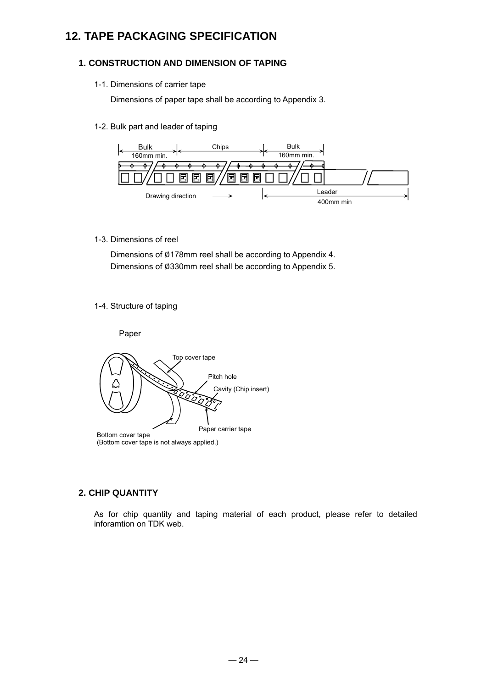### **12. TAPE PACKAGING SPECIFICATION**

### **1. CONSTRUCTION AND DIMENSION OF TAPING**

#### 1-1. Dimensions of carrier tape

Dimensions of paper tape shall be according to Appendix 3.

1-2. Bulk part and leader of taping



1-3. Dimensions of reel

Dimensions of Ø178mm reel shall be according to Appendix 4. Dimensions of Ø330mm reel shall be according to Appendix 5.

#### 1-4. Structure of taping



### **2. CHIP QUANTITY**

As for chip quantity and taping material of each product, please refer to detailed inforamtion on TDK web.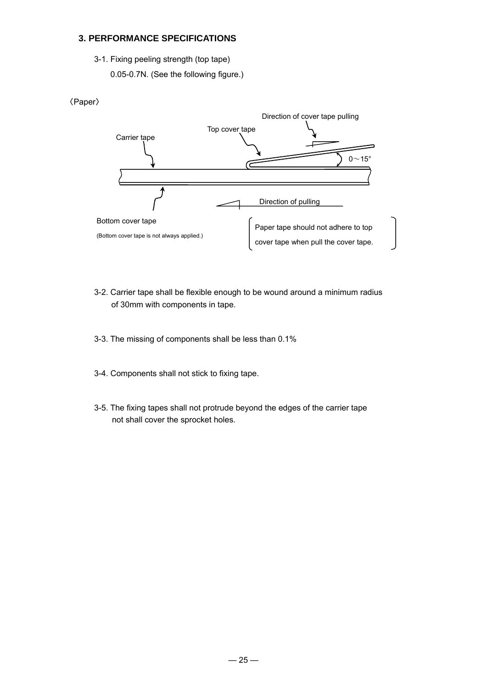### **3. PERFORMANCE SPECIFICATIONS**

- 3-1. Fixing peeling strength (top tape)
	- 0.05-0.7N. (See the following figure.)





- 3-2. Carrier tape shall be flexible enough to be wound around a minimum radius of 30mm with components in tape.
- 3-3. The missing of components shall be less than 0.1%
- 3-4. Components shall not stick to fixing tape.
- 3-5. The fixing tapes shall not protrude beyond the edges of the carrier tape not shall cover the sprocket holes.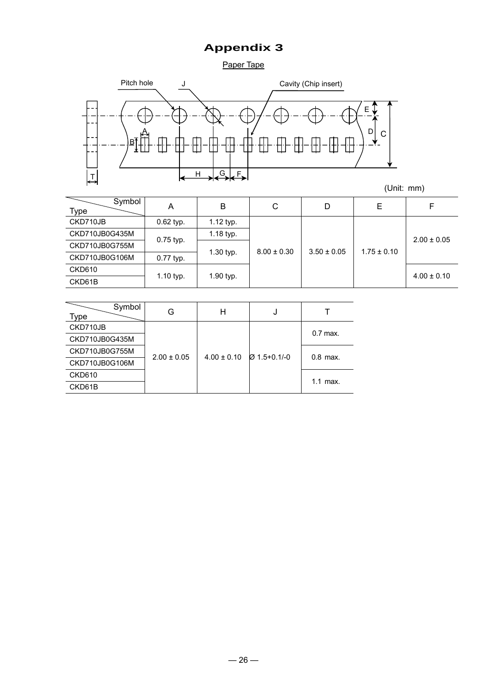### **Appendix 3**

Paper Tape



| Symbol<br><b>Type</b>       | Α           | B           | С               | D               | Е               | F               |
|-----------------------------|-------------|-------------|-----------------|-----------------|-----------------|-----------------|
| CKD710JB                    | $0.62$ typ. | 1.12 typ.   |                 |                 |                 |                 |
| CKD710JB0G435M              |             | $1.18$ typ. | $8.00 \pm 0.30$ | $3.50 \pm 0.05$ | $1.75 \pm 0.10$ | $2.00 \pm 0.05$ |
| CKD710JB0G755M              | 0.75 typ.   |             |                 |                 |                 |                 |
| CKD710JB0G106M<br>0.77 typ. |             | $1.30$ typ. |                 |                 |                 |                 |
| <b>CKD610</b>               |             |             |                 |                 |                 | $4.00 \pm 0.10$ |
| CKD61B                      | 1.10 typ.   | $1.90$ typ. |                 |                 |                 |                 |

| Symbol<br>Type |                 | Н               | J              |            |  |
|----------------|-----------------|-----------------|----------------|------------|--|
| CKD710JB       |                 |                 |                | $0.7$ max. |  |
| CKD710JB0G435M | $2.00 \pm 0.05$ | $4.00 \pm 0.10$ | $Ø$ 1.5+0.1/-0 |            |  |
| CKD710JB0G755M |                 |                 |                |            |  |
| CKD710JB0G106M |                 |                 |                | $0.8$ max. |  |
| <b>CKD610</b>  |                 |                 |                |            |  |
| CKD61B         |                 |                 |                | $1.1$ max. |  |